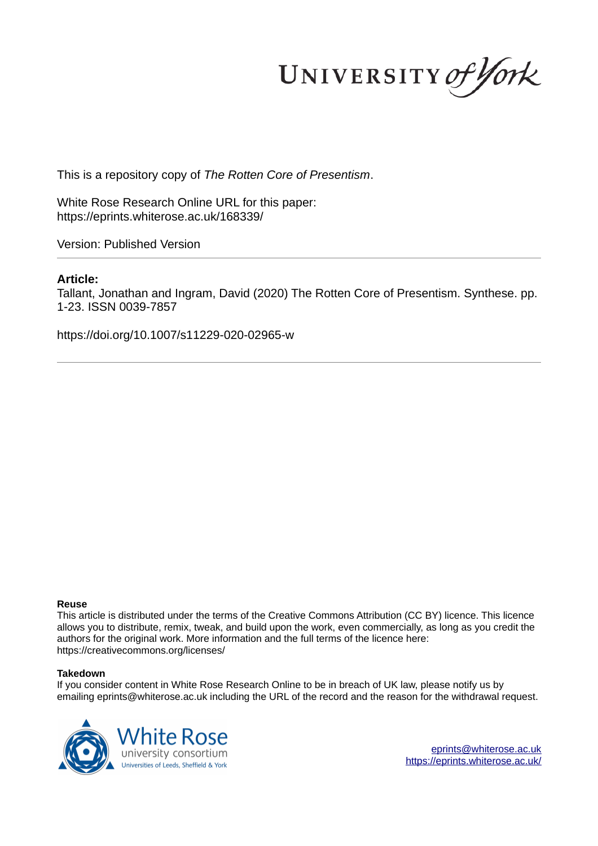UNIVERSITY of York

This is a repository copy of *The Rotten Core of Presentism*.

White Rose Research Online URL for this paper: https://eprints.whiterose.ac.uk/168339/

Version: Published Version

# **Article:**

Tallant, Jonathan and Ingram, David (2020) The Rotten Core of Presentism. Synthese. pp. 1-23. ISSN 0039-7857

https://doi.org/10.1007/s11229-020-02965-w

## **Reuse**

This article is distributed under the terms of the Creative Commons Attribution (CC BY) licence. This licence allows you to distribute, remix, tweak, and build upon the work, even commercially, as long as you credit the authors for the original work. More information and the full terms of the licence here: https://creativecommons.org/licenses/

## **Takedown**

If you consider content in White Rose Research Online to be in breach of UK law, please notify us by emailing eprints@whiterose.ac.uk including the URL of the record and the reason for the withdrawal request.



eprints@whiterose.ac.uk https://eprints.whiterose.ac.uk/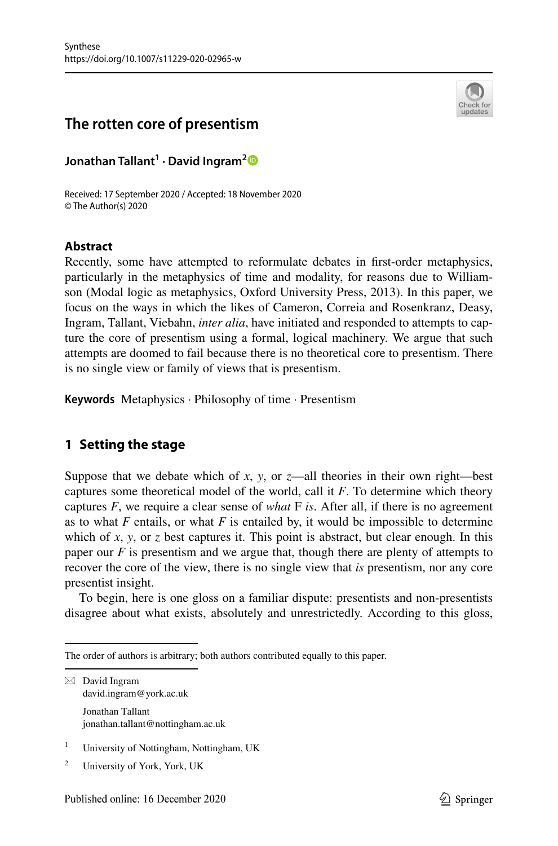

# **The rotten core of presentism**

**Jonathan Tallant<sup>1</sup> · David Ingram[2](http://orcid.org/0000-0002-0184-9271)**

Received: 17 September 2020 / Accepted: 18 November 2020 © The Author(s) 2020

# **Abstract**

Recently, some have attempted to reformulate debates in first-order metaphysics, particularly in the metaphysics of time and modality, for reasons due to Williamson (Modal logic as metaphysics, Oxford University Press, 2013). In this paper, we focus on the ways in which the likes of Cameron, Correia and Rosenkranz, Deasy, Ingram, Tallant, Viebahn, *inter alia*, have initiated and responded to attempts to capture the core of presentism using a formal, logical machinery. We argue that such attempts are doomed to fail because there is no theoretical core to presentism. There is no single view or family of views that is presentism.

**Keywords** Metaphysics · Philosophy of time · Presentism

# **1 Setting the stage**

Suppose that we debate which of *x*, *y*, or *z*—all theories in their own right—best captures some theoretical model of the world, call it *F*. To determine which theory captures *F*, we require a clear sense of *what* F *is*. After all, if there is no agreement as to what  $F$  entails, or what  $F$  is entailed by, it would be impossible to determine which of *x*, *y*, or *z* best captures it. This point is abstract, but clear enough. In this paper our *F* is presentism and we argue that, though there are plenty of attempts to recover the core of the view, there is no single view that *is* presentism, nor any core presentist insight.

To begin, here is one gloss on a familiar dispute: presentists and non-presentists disagree about what exists, absolutely and unrestrictedly. According to this gloss,

- 1 University of Nottingham, Nottingham, UK
- 2 University of York, York, UK

The order of authors is arbitrary; both authors contributed equally to this paper.

 $\boxtimes$  David Ingram david.ingram@york.ac.uk Jonathan Tallant jonathan.tallant@nottingham.ac.uk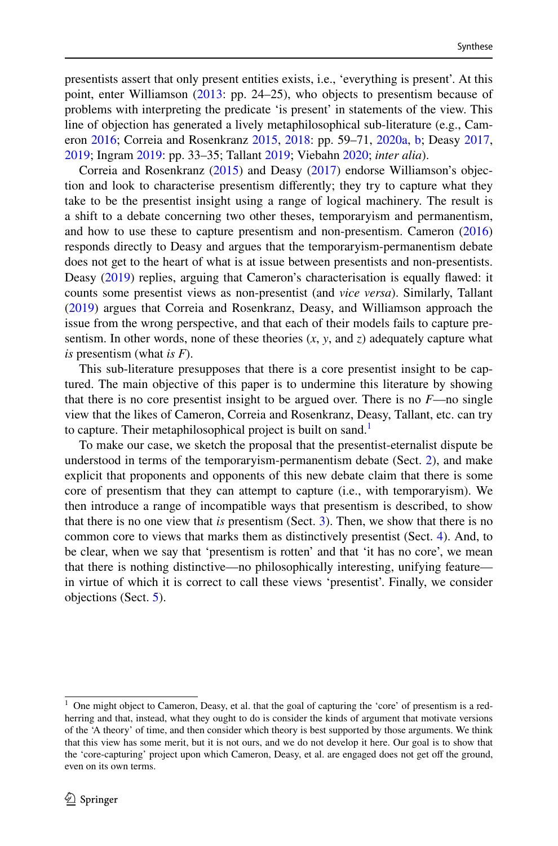presentists assert that only present entities exists, i.e., 'everything is present'. At this point, enter Williamson [\(2013](#page-23-0): pp. 24–25), who objects to presentism because of problems with interpreting the predicate 'is present' in statements of the view. This line of objection has generated a lively metaphilosophical sub-literature (e.g., Cameron [2016;](#page-22-0) Correia and Rosenkranz [2015,](#page-22-1) [2018](#page-22-2): pp. 59–71, [2020a](#page-22-3), [b;](#page-22-4) Deasy [2017,](#page-22-5) [2019](#page-22-6); Ingram [2019:](#page-22-7) pp. 33–35; Tallant [2019;](#page-23-1) Viebahn [2020](#page-23-2); *inter alia*).

Correia and Rosenkranz [\(2015](#page-22-1)) and Deasy [\(2017](#page-22-5)) endorse Williamson's objection and look to characterise presentism differently; they try to capture what they take to be the presentist insight using a range of logical machinery. The result is a shift to a debate concerning two other theses, temporaryism and permanentism, and how to use these to capture presentism and non-presentism. Cameron [\(2016](#page-22-0)) responds directly to Deasy and argues that the temporaryism-permanentism debate does not get to the heart of what is at issue between presentists and non-presentists. Deasy ([2019\)](#page-22-6) replies, arguing that Cameron's characterisation is equally flawed: it counts some presentist views as non-presentist (and *vice versa*). Similarly, Tallant [\(2019](#page-23-1)) argues that Correia and Rosenkranz, Deasy, and Williamson approach the issue from the wrong perspective, and that each of their models fails to capture presentism. In other words, none of these theories (*x*, *y*, and *z*) adequately capture what *is* presentism (what *is F*).

This sub-literature presupposes that there is a core presentist insight to be captured. The main objective of this paper is to undermine this literature by showing that there is no core presentist insight to be argued over. There is no *F*—no single view that the likes of Cameron, Correia and Rosenkranz, Deasy, Tallant, etc. can try to capture. Their metaphilosophical project is built on sand.<sup>[1](#page-2-0)</sup>

To make our case, we sketch the proposal that the presentist-eternalist dispute be understood in terms of the temporaryism-permanentism debate (Sect. [2](#page-3-0)), and make explicit that proponents and opponents of this new debate claim that there is some core of presentism that they can attempt to capture (i.e., with temporaryism). We then introduce a range of incompatible ways that presentism is described, to show that there is no one view that *is* presentism (Sect. [3](#page-4-0)). Then, we show that there is no common core to views that marks them as distinctively presentist (Sect. [4](#page-13-0)). And, to be clear, when we say that 'presentism is rotten' and that 'it has no core', we mean that there is nothing distinctive—no philosophically interesting, unifying feature in virtue of which it is correct to call these views 'presentist'. Finally, we consider objections (Sect. [5](#page-16-0)).

<span id="page-2-0"></span><sup>1</sup> One might object to Cameron, Deasy, et al. that the goal of capturing the 'core' of presentism is a redherring and that, instead, what they ought to do is consider the kinds of argument that motivate versions of the 'A theory' of time, and then consider which theory is best supported by those arguments. We think that this view has some merit, but it is not ours, and we do not develop it here. Our goal is to show that the 'core-capturing' project upon which Cameron, Deasy, et al. are engaged does not get off the ground, even on its own terms.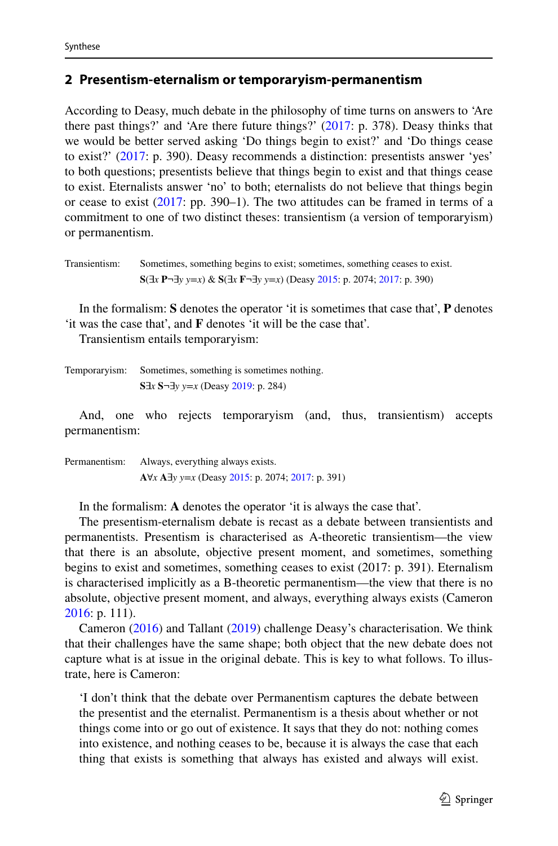### <span id="page-3-0"></span>**2 Presentism‑eternalism or temporaryism‑permanentism**

According to Deasy, much debate in the philosophy of time turns on answers to 'Are there past things?' and 'Are there future things?' [\(2017](#page-22-5): p. 378). Deasy thinks that we would be better served asking 'Do things begin to exist?' and 'Do things cease to exist?' ([2017:](#page-22-5) p. 390). Deasy recommends a distinction: presentists answer 'yes' to both questions; presentists believe that things begin to exist and that things cease to exist. Eternalists answer 'no' to both; eternalists do not believe that things begin or cease to exist ([2017:](#page-22-5) pp. 390–1). The two attitudes can be framed in terms of a commitment to one of two distinct theses: transientism (a version of temporaryism) or permanentism.

```
Transientism: Sometimes, something begins to exist; sometimes, something ceases to exist.
     S(∃x P¬∃y y=x) & S(∃x F¬∃y y=x) (Deasy 2015: p. 2074; 2017: p. 390)
```
In the formalism: **S** denotes the operator 'it is sometimes that case that', **P** denotes 'it was the case that', and **F** denotes 'it will be the case that'.

Transientism entails temporaryism:

| Temporaryism: | Sometimes, something is sometimes nothing.                     |
|---------------|----------------------------------------------------------------|
|               | S $\exists x$ S $\neg$ $\exists y$ y $=x$ (Deasy 2019: p. 284) |

And, one who rejects temporaryism (and, thus, transientism) accepts permanentism:

Permanentism: Always, everything always exists. **A**∀*x* **A**∃*y y*=*x* (Deasy [2015:](#page-22-8) p. 2074; [2017](#page-22-5): p. 391)

In the formalism: **A** denotes the operator 'it is always the case that'.

The presentism-eternalism debate is recast as a debate between transientists and permanentists. Presentism is characterised as A-theoretic transientism—the view that there is an absolute, objective present moment, and sometimes, something begins to exist and sometimes, something ceases to exist (2017: p. 391). Eternalism is characterised implicitly as a B-theoretic permanentism—the view that there is no absolute, objective present moment, and always, everything always exists (Cameron [2016](#page-22-0): p. 111).

Cameron ([2016\)](#page-22-0) and Tallant [\(2019](#page-23-1)) challenge Deasy's characterisation. We think that their challenges have the same shape; both object that the new debate does not capture what is at issue in the original debate. This is key to what follows. To illustrate, here is Cameron:

'I don't think that the debate over Permanentism captures the debate between the presentist and the eternalist. Permanentism is a thesis about whether or not things come into or go out of existence. It says that they do not: nothing comes into existence, and nothing ceases to be, because it is always the case that each thing that exists is something that always has existed and always will exist.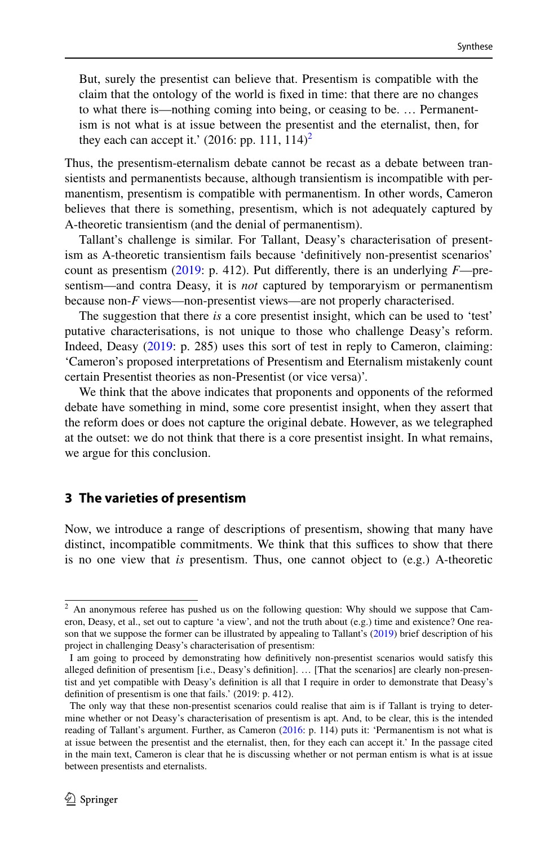But, surely the presentist can believe that. Presentism is compatible with the claim that the ontology of the world is fixed in time: that there are no changes to what there is—nothing coming into being, or ceasing to be. … Permanentism is not what is at issue between the presentist and the eternalist, then, for they each can accept it.' ([2](#page-4-1)016: pp. 111, 114)<sup>2</sup>

Thus, the presentism-eternalism debate cannot be recast as a debate between transientists and permanentists because, although transientism is incompatible with permanentism, presentism is compatible with permanentism. In other words, Cameron believes that there is something, presentism, which is not adequately captured by A-theoretic transientism (and the denial of permanentism).

Tallant's challenge is similar. For Tallant, Deasy's characterisation of presentism as A-theoretic transientism fails because 'definitively non-presentist scenarios' count as presentism [\(2019](#page-23-1): p. 412). Put differently, there is an underlying *F*—presentism—and contra Deasy, it is *not* captured by temporaryism or permanentism because non-*F* views—non-presentist views—are not properly characterised.

The suggestion that there *is* a core presentist insight, which can be used to 'test' putative characterisations, is not unique to those who challenge Deasy's reform. Indeed, Deasy [\(2019](#page-22-6): p. 285) uses this sort of test in reply to Cameron, claiming: 'Cameron's proposed interpretations of Presentism and Eternalism mistakenly count certain Presentist theories as non-Presentist (or vice versa)'.

We think that the above indicates that proponents and opponents of the reformed debate have something in mind, some core presentist insight, when they assert that the reform does or does not capture the original debate. However, as we telegraphed at the outset: we do not think that there is a core presentist insight. In what remains, we argue for this conclusion.

## <span id="page-4-0"></span>**3 The varieties of presentism**

Now, we introduce a range of descriptions of presentism, showing that many have distinct, incompatible commitments. We think that this suffices to show that there is no one view that *is* presentism. Thus, one cannot object to (e.g.) A-theoretic

<span id="page-4-1"></span> $2$  An anonymous referee has pushed us on the following question: Why should we suppose that Cameron, Deasy, et al., set out to capture 'a view', and not the truth about (e.g.) time and existence? One reason that we suppose the former can be illustrated by appealing to Tallant's [\(2019](#page-23-1)) brief description of his project in challenging Deasy's characterisation of presentism:

I am going to proceed by demonstrating how definitively non-presentist scenarios would satisfy this alleged definition of presentism [i.e., Deasy's definition]. … [That the scenarios] are clearly non-presentist and yet compatible with Deasy's definition is all that I require in order to demonstrate that Deasy's definition of presentism is one that fails.' (2019: p. 412).

The only way that these non-presentist scenarios could realise that aim is if Tallant is trying to determine whether or not Deasy's characterisation of presentism is apt. And, to be clear, this is the intended reading of Tallant's argument. Further, as Cameron ([2016:](#page-22-0) p. 114) puts it: 'Permanentism is not what is at issue between the presentist and the eternalist, then, for they each can accept it.' In the passage cited in the main text, Cameron is clear that he is discussing whether or not perman entism is what is at issue between presentists and eternalists.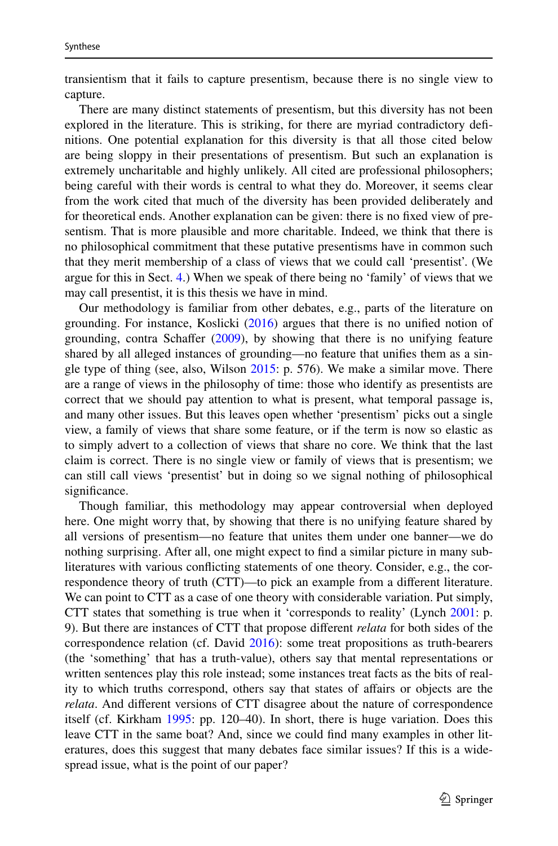transientism that it fails to capture presentism, because there is no single view to capture.

There are many distinct statements of presentism, but this diversity has not been explored in the literature. This is striking, for there are myriad contradictory definitions. One potential explanation for this diversity is that all those cited below are being sloppy in their presentations of presentism. But such an explanation is extremely uncharitable and highly unlikely. All cited are professional philosophers; being careful with their words is central to what they do. Moreover, it seems clear from the work cited that much of the diversity has been provided deliberately and for theoretical ends. Another explanation can be given: there is no fixed view of presentism. That is more plausible and more charitable. Indeed, we think that there is no philosophical commitment that these putative presentisms have in common such that they merit membership of a class of views that we could call 'presentist'. (We argue for this in Sect. [4.](#page-13-0)) When we speak of there being no 'family' of views that we may call presentist, it is this thesis we have in mind.

Our methodology is familiar from other debates, e.g., parts of the literature on grounding. For instance, Koslicki ([2016\)](#page-22-9) argues that there is no unified notion of grounding, contra Schaffer ([2009\)](#page-23-3), by showing that there is no unifying feature shared by all alleged instances of grounding—no feature that unifies them as a single type of thing (see, also, Wilson [2015](#page-23-4): p. 576). We make a similar move. There are a range of views in the philosophy of time: those who identify as presentists are correct that we should pay attention to what is present, what temporal passage is, and many other issues. But this leaves open whether 'presentism' picks out a single view, a family of views that share some feature, or if the term is now so elastic as to simply advert to a collection of views that share no core. We think that the last claim is correct. There is no single view or family of views that is presentism; we can still call views 'presentist' but in doing so we signal nothing of philosophical significance.

Though familiar, this methodology may appear controversial when deployed here. One might worry that, by showing that there is no unifying feature shared by all versions of presentism—no feature that unites them under one banner—we do nothing surprising. After all, one might expect to find a similar picture in many subliteratures with various conflicting statements of one theory. Consider, e.g., the correspondence theory of truth (CTT)—to pick an example from a different literature. We can point to CTT as a case of one theory with considerable variation. Put simply, CTT states that something is true when it 'corresponds to reality' (Lynch [2001:](#page-22-10) p. 9). But there are instances of CTT that propose different *relata* for both sides of the correspondence relation (cf. David [2016](#page-22-11)): some treat propositions as truth-bearers (the 'something' that has a truth-value), others say that mental representations or written sentences play this role instead; some instances treat facts as the bits of reality to which truths correspond, others say that states of affairs or objects are the *relata*. And different versions of CTT disagree about the nature of correspondence itself (cf. Kirkham [1995:](#page-22-12) pp. 120–40). In short, there is huge variation. Does this leave CTT in the same boat? And, since we could find many examples in other literatures, does this suggest that many debates face similar issues? If this is a widespread issue, what is the point of our paper?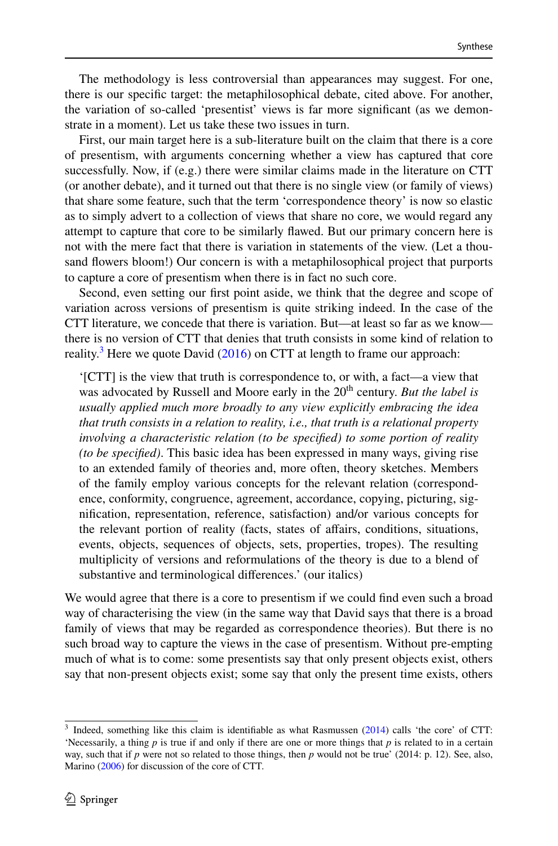The methodology is less controversial than appearances may suggest. For one, there is our specific target: the metaphilosophical debate, cited above. For another, the variation of so-called 'presentist' views is far more significant (as we demonstrate in a moment). Let us take these two issues in turn.

First, our main target here is a sub-literature built on the claim that there is a core of presentism, with arguments concerning whether a view has captured that core successfully. Now, if (e.g.) there were similar claims made in the literature on CTT (or another debate), and it turned out that there is no single view (or family of views) that share some feature, such that the term 'correspondence theory' is now so elastic as to simply advert to a collection of views that share no core, we would regard any attempt to capture that core to be similarly flawed. But our primary concern here is not with the mere fact that there is variation in statements of the view. (Let a thousand flowers bloom!) Our concern is with a metaphilosophical project that purports to capture a core of presentism when there is in fact no such core.

Second, even setting our first point aside, we think that the degree and scope of variation across versions of presentism is quite striking indeed. In the case of the CTT literature, we concede that there is variation. But—at least so far as we know there is no version of CTT that denies that truth consists in some kind of relation to reality.<sup>[3](#page-6-0)</sup> Here we quote David ([2016\)](#page-22-11) on CTT at length to frame our approach:

'[CTT] is the view that truth is correspondence to, or with, a fact—a view that was advocated by Russell and Moore early in the 20<sup>th</sup> century. *But the label is usually applied much more broadly to any view explicitly embracing the idea that truth consists in a relation to reality, i.e., that truth is a relational property involving a characteristic relation (to be specified) to some portion of reality (to be specified)*. This basic idea has been expressed in many ways, giving rise to an extended family of theories and, more often, theory sketches. Members of the family employ various concepts for the relevant relation (correspondence, conformity, congruence, agreement, accordance, copying, picturing, signification, representation, reference, satisfaction) and/or various concepts for the relevant portion of reality (facts, states of affairs, conditions, situations, events, objects, sequences of objects, sets, properties, tropes). The resulting multiplicity of versions and reformulations of the theory is due to a blend of substantive and terminological differences.' (our italics)

We would agree that there is a core to presentism if we could find even such a broad way of characterising the view (in the same way that David says that there is a broad family of views that may be regarded as correspondence theories). But there is no such broad way to capture the views in the case of presentism. Without pre-empting much of what is to come: some presentists say that only present objects exist, others say that non-present objects exist; some say that only the present time exists, others

<span id="page-6-0"></span><sup>&</sup>lt;sup>3</sup> Indeed, something like this claim is identifiable as what Rasmussen ([2014\)](#page-23-5) calls 'the core' of CTT: 'Necessarily, a thing *p* is true if and only if there are one or more things that *p* is related to in a certain way, such that if *p* were not so related to those things, then *p* would not be true' (2014: p. 12). See, also, Marino [\(2006](#page-23-6)) for discussion of the core of CTT.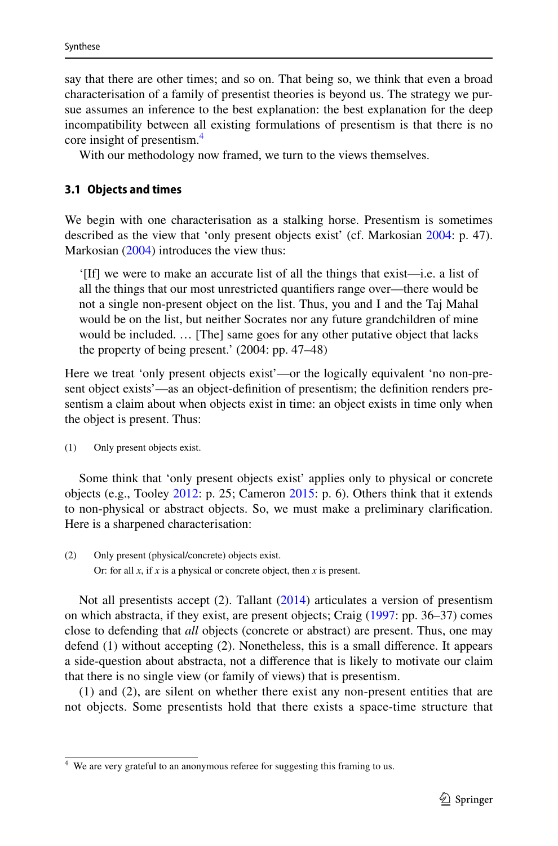say that there are other times; and so on. That being so, we think that even a broad characterisation of a family of presentist theories is beyond us. The strategy we pursue assumes an inference to the best explanation: the best explanation for the deep incompatibility between all existing formulations of presentism is that there is no core insight of presentism.<sup>[4](#page-7-0)</sup>

With our methodology now framed, we turn to the views themselves.

## <span id="page-7-1"></span>**3.1 Objects and times**

We begin with one characterisation as a stalking horse. Presentism is sometimes described as the view that 'only present objects exist' (cf. Markosian [2004:](#page-23-7) p. 47). Markosian [\(2004](#page-23-7)) introduces the view thus:

'[If] we were to make an accurate list of all the things that exist—i.e. a list of all the things that our most unrestricted quantifiers range over—there would be not a single non-present object on the list. Thus, you and I and the Taj Mahal would be on the list, but neither Socrates nor any future grandchildren of mine would be included. … [The] same goes for any other putative object that lacks the property of being present.' (2004: pp. 47–48)

Here we treat 'only present objects exist'—or the logically equivalent 'no non-present object exists'—as an object-definition of presentism; the definition renders presentism a claim about when objects exist in time: an object exists in time only when the object is present. Thus:

(1) Only present objects exist.

Some think that 'only present objects exist' applies only to physical or concrete objects (e.g., Tooley [2012](#page-23-8): p. 25; Cameron [2015:](#page-22-13) p. 6). Others think that it extends to non-physical or abstract objects. So, we must make a preliminary clarification. Here is a sharpened characterisation:

(2) Only present (physical/concrete) objects exist. Or: for all *x*, if *x* is a physical or concrete object, then *x* is present.

Not all presentists accept (2). Tallant [\(2014](#page-23-9)) articulates a version of presentism on which abstracta, if they exist, are present objects; Craig [\(1997](#page-22-14): pp. 36–37) comes close to defending that *all* objects (concrete or abstract) are present. Thus, one may defend (1) without accepting (2). Nonetheless, this is a small difference. It appears a side-question about abstracta, not a difference that is likely to motivate our claim that there is no single view (or family of views) that is presentism.

(1) and (2), are silent on whether there exist any non-present entities that are not objects. Some presentists hold that there exists a space-time structure that

<span id="page-7-0"></span><sup>&</sup>lt;sup>4</sup> We are very grateful to an anonymous referee for suggesting this framing to us.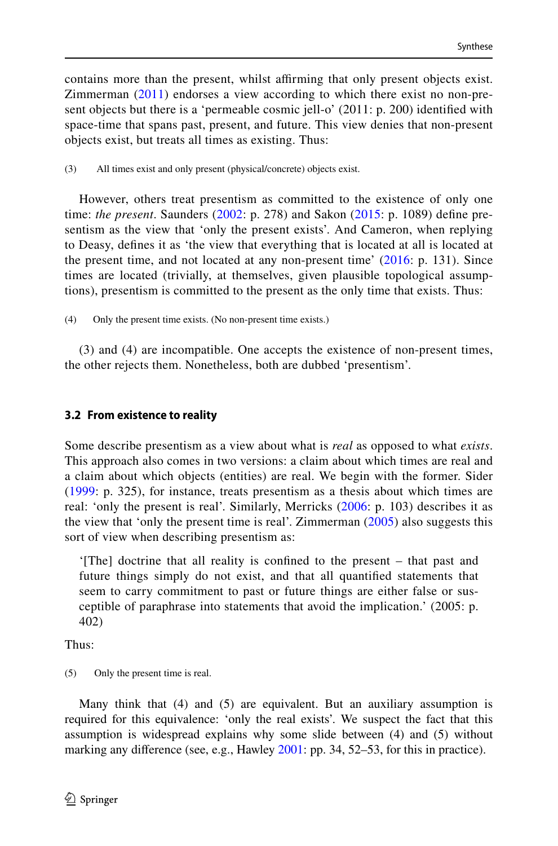contains more than the present, whilst affirming that only present objects exist. Zimmerman ([2011\)](#page-23-10) endorses a view according to which there exist no non-present objects but there is a 'permeable cosmic jell-o' (2011: p. 200) identified with space-time that spans past, present, and future. This view denies that non-present objects exist, but treats all times as existing. Thus:

(3) All times exist and only present (physical/concrete) objects exist.

However, others treat presentism as committed to the existence of only one time: *the present*. Saunders ([2002](#page-23-11): p. 278) and Sakon ([2015](#page-23-12): p. 1089) define presentism as the view that 'only the present exists'. And Cameron, when replying to Deasy, defines it as 'the view that everything that is located at all is located at the present time, and not located at any non-present time'  $(2016: p. 131)$  $(2016: p. 131)$  $(2016: p. 131)$ . Since times are located (trivially, at themselves, given plausible topological assumptions), presentism is committed to the present as the only time that exists. Thus:

(4) Only the present time exists. (No non-present time exists.)

(3) and (4) are incompatible. One accepts the existence of non-present times, the other rejects them. Nonetheless, both are dubbed 'presentism'.

## **3.2 From existence to reality**

Some describe presentism as a view about what is *real* as opposed to what *exists*. This approach also comes in two versions: a claim about which times are real and a claim about which objects (entities) are real. We begin with the former. Sider [\(1999](#page-23-13): p. 325), for instance, treats presentism as a thesis about which times are real: 'only the present is real'. Similarly, Merricks ([2006](#page-23-14): p. 103) describes it as the view that 'only the present time is real'. Zimmerman  $(2005)$  $(2005)$  also suggests this sort of view when describing presentism as:

'[The] doctrine that all reality is confined to the present – that past and future things simply do not exist, and that all quantified statements that seem to carry commitment to past or future things are either false or susceptible of paraphrase into statements that avoid the implication.' (2005: p. 402)

Thus:

(5) Only the present time is real.

Many think that (4) and (5) are equivalent. But an auxiliary assumption is required for this equivalence: 'only the real exists'. We suspect the fact that this assumption is widespread explains why some slide between (4) and (5) without marking any difference (see, e.g., Hawley [2001](#page-22-15): pp. 34, 52–53, for this in practice).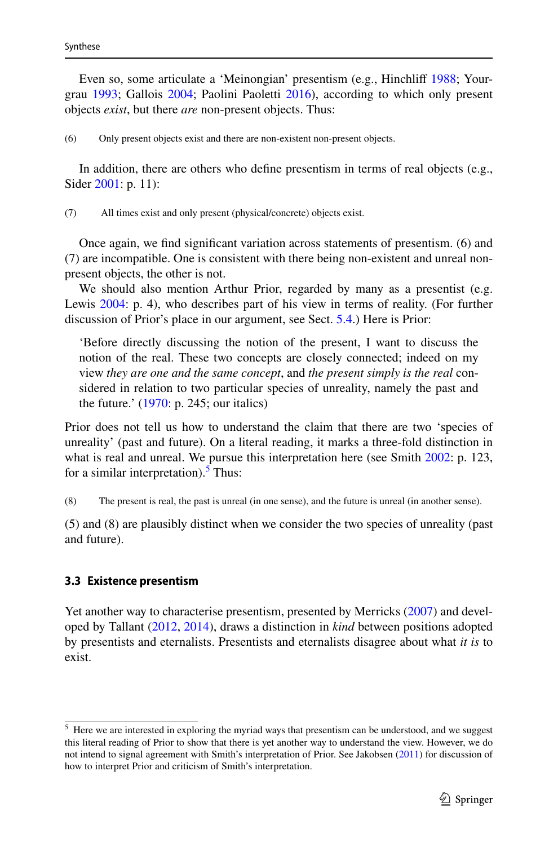Even so, some articulate a 'Meinongian' presentism (e.g., Hinchliff [1988](#page-22-16); Yourgrau [1993;](#page-23-16) Gallois [2004](#page-22-17); Paolini Paoletti [2016](#page-23-17)), according to which only present objects *exist*, but there *are* non-present objects. Thus:

(6) Only present objects exist and there are non-existent non-present objects.

In addition, there are others who define presentism in terms of real objects (e.g., Sider [2001:](#page-23-18) p. 11):

(7) All times exist and only present (physical/concrete) objects exist.

Once again, we find significant variation across statements of presentism. (6) and (7) are incompatible. One is consistent with there being non-existent and unreal nonpresent objects, the other is not.

We should also mention Arthur Prior, regarded by many as a presentist (e.g. Lewis [2004:](#page-22-18) p. 4), who describes part of his view in terms of reality. (For further discussion of Prior's place in our argument, see Sect. [5.4.](#page-19-0)) Here is Prior:

'Before directly discussing the notion of the present, I want to discuss the notion of the real. These two concepts are closely connected; indeed on my view *they are one and the same concept*, and *the present simply is the real* considered in relation to two particular species of unreality, namely the past and the future.' [\(1970](#page-23-19): p. 245; our italics)

Prior does not tell us how to understand the claim that there are two 'species of unreality' (past and future). On a literal reading, it marks a three-fold distinction in what is real and unreal. We pursue this interpretation here (see Smith [2002:](#page-23-20) p. 123, for a similar interpretation).<sup>[5](#page-9-0)</sup> Thus:

(8) The present is real, the past is unreal (in one sense), and the future is unreal (in another sense).

(5) and (8) are plausibly distinct when we consider the two species of unreality (past and future).

#### <span id="page-9-1"></span>**3.3 Existence presentism**

Yet another way to characterise presentism, presented by Merricks [\(2007](#page-23-21)) and developed by Tallant ([2012,](#page-23-22) [2014\)](#page-23-9), draws a distinction in *kind* between positions adopted by presentists and eternalists. Presentists and eternalists disagree about what *it is* to exist.

<span id="page-9-0"></span><sup>&</sup>lt;sup>5</sup> Here we are interested in exploring the myriad ways that presentism can be understood, and we suggest this literal reading of Prior to show that there is yet another way to understand the view. However, we do not intend to signal agreement with Smith's interpretation of Prior. See Jakobsen [\(2011](#page-22-19)) for discussion of how to interpret Prior and criticism of Smith's interpretation.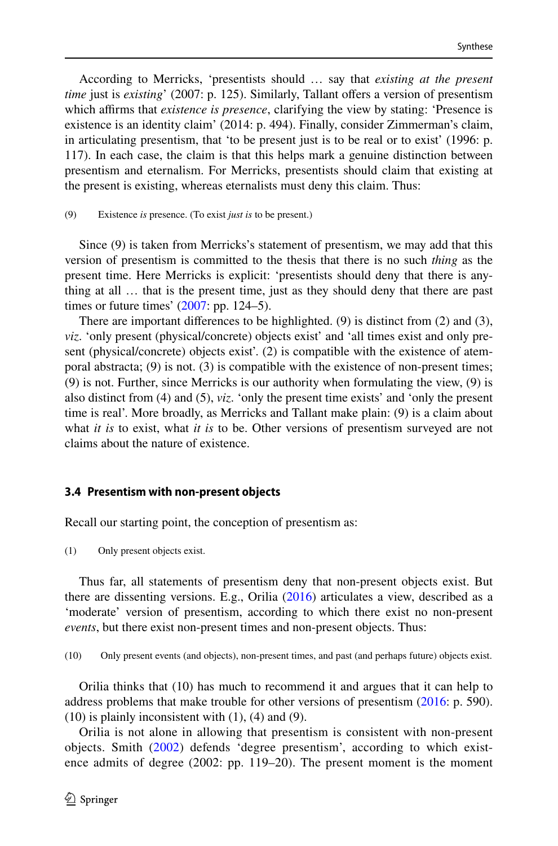According to Merricks, 'presentists should … say that *existing at the present time* just is *existing*' (2007: p. 125). Similarly, Tallant offers a version of presentism which affirms that *existence is presence*, clarifying the view by stating: 'Presence is existence is an identity claim' (2014: p. 494). Finally, consider Zimmerman's claim, in articulating presentism, that 'to be present just is to be real or to exist' (1996: p. 117). In each case, the claim is that this helps mark a genuine distinction between presentism and eternalism. For Merricks, presentists should claim that existing at the present is existing, whereas eternalists must deny this claim. Thus:

#### (9) Existence *is* presence. (To exist *just is* to be present.)

Since (9) is taken from Merricks's statement of presentism, we may add that this version of presentism is committed to the thesis that there is no such *thing* as the present time. Here Merricks is explicit: 'presentists should deny that there is anything at all … that is the present time, just as they should deny that there are past times or future times'  $(2007:$  $(2007:$  pp. 124–5).

There are important differences to be highlighted. (9) is distinct from (2) and (3), *viz*. 'only present (physical/concrete) objects exist' and 'all times exist and only present (physical/concrete) objects exist'. (2) is compatible with the existence of atemporal abstracta;  $(9)$  is not.  $(3)$  is compatible with the existence of non-present times; (9) is not. Further, since Merricks is our authority when formulating the view, (9) is also distinct from (4) and (5), *viz*. 'only the present time exists' and 'only the present time is real'. More broadly, as Merricks and Tallant make plain: (9) is a claim about what *it is* to exist, what *it is* to be. Other versions of presentism surveyed are not claims about the nature of existence.

### <span id="page-10-0"></span>**3.4 Presentism with non‑present objects**

Recall our starting point, the conception of presentism as:

(1) Only present objects exist.

Thus far, all statements of presentism deny that non-present objects exist. But there are dissenting versions. E.g., Orilia ([2016\)](#page-23-23) articulates a view, described as a 'moderate' version of presentism, according to which there exist no non-present *events*, but there exist non-present times and non-present objects. Thus:

(10) Only present events (and objects), non-present times, and past (and perhaps future) objects exist.

Orilia thinks that (10) has much to recommend it and argues that it can help to address problems that make trouble for other versions of presentism ([2016:](#page-23-23) p. 590).  $(10)$  is plainly inconsistent with  $(1)$ ,  $(4)$  and  $(9)$ .

Orilia is not alone in allowing that presentism is consistent with non-present objects. Smith ([2002](#page-23-20)) defends 'degree presentism', according to which existence admits of degree (2002: pp. 119–20). The present moment is the moment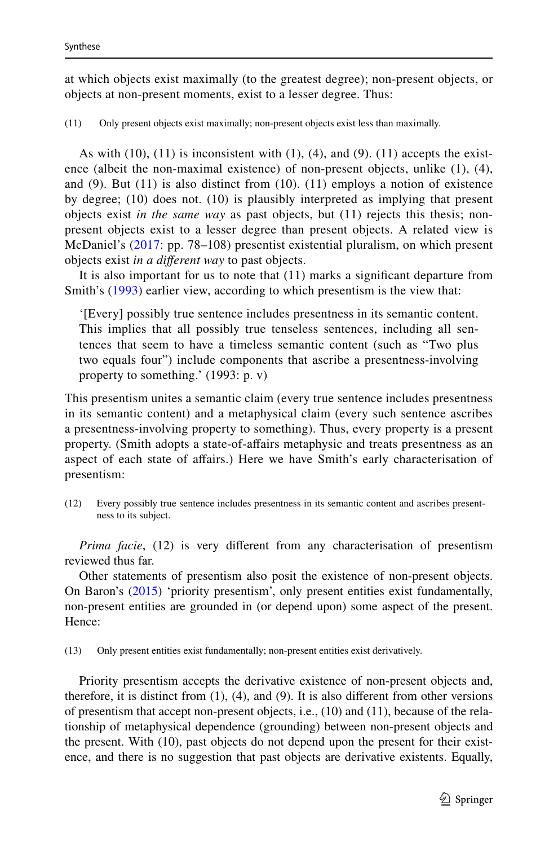at which objects exist maximally (to the greatest degree); non-present objects, or objects at non-present moments, exist to a lesser degree. Thus:

(11) Only present objects exist maximally; non-present objects exist less than maximally.

As with  $(10)$ ,  $(11)$  is inconsistent with  $(1)$ ,  $(4)$ , and  $(9)$ .  $(11)$  accepts the existence (albeit the non-maximal existence) of non-present objects, unlike (1), (4), and (9). But (11) is also distinct from (10). (11) employs a notion of existence by degree; (10) does not. (10) is plausibly interpreted as implying that present objects exist *in the same way* as past objects, but (11) rejects this thesis; nonpresent objects exist to a lesser degree than present objects. A related view is McDaniel's ([2017](#page-23-24): pp. 78–108) presentist existential pluralism, on which present objects exist *in a different way* to past objects.

It is also important for us to note that (11) marks a significant departure from Smith's [\(1993\)](#page-23-25) earlier view, according to which presentism is the view that:

'[Every] possibly true sentence includes presentness in its semantic content. This implies that all possibly true tenseless sentences, including all sentences that seem to have a timeless semantic content (such as "Two plus two equals four") include components that ascribe a presentness-involving property to something.' (1993: p. v)

This presentism unites a semantic claim (every true sentence includes presentness in its semantic content) and a metaphysical claim (every such sentence ascribes a presentness-involving property to something). Thus, every property is a present property. (Smith adopts a state-of-affairs metaphysic and treats presentness as an aspect of each state of affairs.) Here we have Smith's early characterisation of presentism:

(12) Every possibly true sentence includes presentness in its semantic content and ascribes presentness to its subject.

*Prima facie*, (12) is very different from any characterisation of presentism reviewed thus far.

Other statements of presentism also posit the existence of non-present objects. On Baron's [\(2015](#page-22-20)) 'priority presentism', only present entities exist fundamentally, non-present entities are grounded in (or depend upon) some aspect of the present. Hence:

(13) Only present entities exist fundamentally; non-present entities exist derivatively.

Priority presentism accepts the derivative existence of non-present objects and, therefore, it is distinct from  $(1)$ ,  $(4)$ , and  $(9)$ . It is also different from other versions of presentism that accept non-present objects, i.e., (10) and (11), because of the relationship of metaphysical dependence (grounding) between non-present objects and the present. With (10), past objects do not depend upon the present for their existence, and there is no suggestion that past objects are derivative existents. Equally,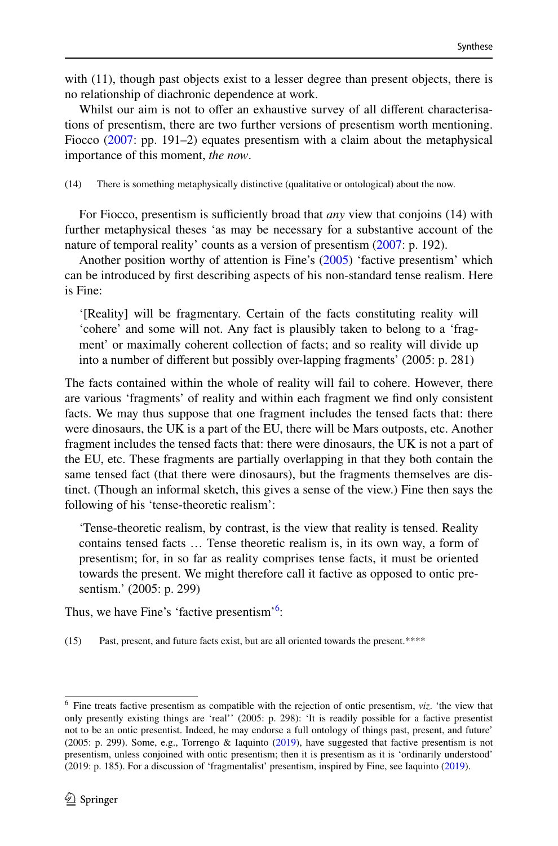with (11), though past objects exist to a lesser degree than present objects, there is no relationship of diachronic dependence at work.

Whilst our aim is not to offer an exhaustive survey of all different characterisations of presentism, there are two further versions of presentism worth mentioning. Fiocco [\(2007](#page-22-21): pp. 191–2) equates presentism with a claim about the metaphysical importance of this moment, *the now*.

(14) There is something metaphysically distinctive (qualitative or ontological) about the now.

For Fiocco, presentism is sufficiently broad that *any* view that conjoins (14) with further metaphysical theses 'as may be necessary for a substantive account of the nature of temporal reality' counts as a version of presentism ([2007:](#page-22-21) p. 192).

Another position worthy of attention is Fine's ([2005\)](#page-22-22) 'factive presentism' which can be introduced by first describing aspects of his non-standard tense realism. Here is Fine:

'[Reality] will be fragmentary. Certain of the facts constituting reality will 'cohere' and some will not. Any fact is plausibly taken to belong to a 'fragment' or maximally coherent collection of facts; and so reality will divide up into a number of different but possibly over-lapping fragments' (2005: p. 281)

The facts contained within the whole of reality will fail to cohere. However, there are various 'fragments' of reality and within each fragment we find only consistent facts. We may thus suppose that one fragment includes the tensed facts that: there were dinosaurs, the UK is a part of the EU, there will be Mars outposts, etc. Another fragment includes the tensed facts that: there were dinosaurs, the UK is not a part of the EU, etc. These fragments are partially overlapping in that they both contain the same tensed fact (that there were dinosaurs), but the fragments themselves are distinct. (Though an informal sketch, this gives a sense of the view.) Fine then says the following of his 'tense-theoretic realism':

'Tense-theoretic realism, by contrast, is the view that reality is tensed. Reality contains tensed facts … Tense theoretic realism is, in its own way, a form of presentism; for, in so far as reality comprises tense facts, it must be oriented towards the present. We might therefore call it factive as opposed to ontic presentism.' (2005: p. 299)

Thus, we have Fine's 'factive presentism'<sup>[6](#page-12-0)</sup>:

(15) Past, present, and future facts exist, but are all oriented towards the present.\*\*\*\*

<span id="page-12-0"></span><sup>6</sup> Fine treats factive presentism as compatible with the rejection of ontic presentism, *viz*. 'the view that only presently existing things are 'real'' (2005: p. 298): 'It is readily possible for a factive presentist not to be an ontic presentist. Indeed, he may endorse a full ontology of things past, present, and future' (2005: p. 299). Some, e.g., Torrengo & Iaquinto [\(2019](#page-23-26)), have suggested that factive presentism is not presentism, unless conjoined with ontic presentism; then it is presentism as it is 'ordinarily understood' (2019: p. 185). For a discussion of 'fragmentalist' presentism, inspired by Fine, see Iaquinto [\(2019](#page-22-23)).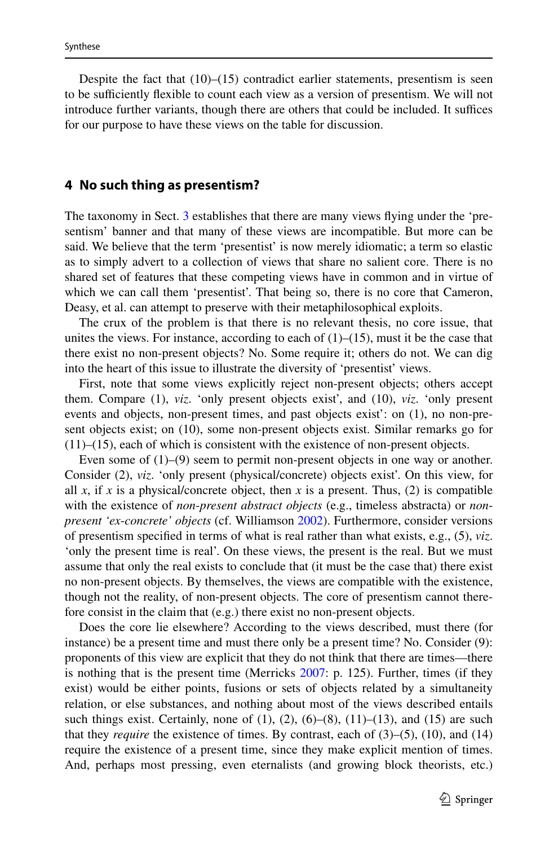Despite the fact that  $(10)$ – $(15)$  contradict earlier statements, presentism is seen to be sufficiently flexible to count each view as a version of presentism. We will not introduce further variants, though there are others that could be included. It suffices for our purpose to have these views on the table for discussion.

#### <span id="page-13-0"></span>**4 No such thing as presentism?**

The taxonomy in Sect. [3](#page-4-0) establishes that there are many views flying under the 'presentism' banner and that many of these views are incompatible. But more can be said. We believe that the term 'presentist' is now merely idiomatic; a term so elastic as to simply advert to a collection of views that share no salient core. There is no shared set of features that these competing views have in common and in virtue of which we can call them 'presentist'. That being so, there is no core that Cameron, Deasy, et al. can attempt to preserve with their metaphilosophical exploits.

The crux of the problem is that there is no relevant thesis, no core issue, that unites the views. For instance, according to each of  $(1)$ – $(15)$ , must it be the case that there exist no non-present objects? No. Some require it; others do not. We can dig into the heart of this issue to illustrate the diversity of 'presentist' views.

First, note that some views explicitly reject non-present objects; others accept them. Compare (1), *viz*. 'only present objects exist', and (10), *viz*. 'only present events and objects, non-present times, and past objects exist': on (1), no non-present objects exist; on (10), some non-present objects exist. Similar remarks go for (11)–(15), each of which is consistent with the existence of non-present objects.

Even some of  $(1)$ – $(9)$  seem to permit non-present objects in one way or another. Consider (2), *viz*. 'only present (physical/concrete) objects exist'. On this view, for all *x*, if *x* is a physical/concrete object, then *x* is a present. Thus, (2) is compatible with the existence of *non*-*present abstract objects* (e.g., timeless abstracta) or *nonpresent 'ex*-*concrete' objects* (cf. Williamson [2002\)](#page-23-27). Furthermore, consider versions of presentism specified in terms of what is real rather than what exists, e.g., (5), *viz*. 'only the present time is real'. On these views, the present is the real. But we must assume that only the real exists to conclude that (it must be the case that) there exist no non-present objects. By themselves, the views are compatible with the existence, though not the reality, of non-present objects. The core of presentism cannot therefore consist in the claim that (e.g.) there exist no non-present objects.

Does the core lie elsewhere? According to the views described, must there (for instance) be a present time and must there only be a present time? No. Consider (9): proponents of this view are explicit that they do not think that there are times—there is nothing that is the present time (Merricks [2007](#page-23-21): p. 125). Further, times (if they exist) would be either points, fusions or sets of objects related by a simultaneity relation, or else substances, and nothing about most of the views described entails such things exist. Certainly, none of  $(1)$ ,  $(2)$ ,  $(6)$ – $(8)$ ,  $(11)$ – $(13)$ , and  $(15)$  are such that they *require* the existence of times. By contrast, each of (3)–(5), (10), and (14) require the existence of a present time, since they make explicit mention of times. And, perhaps most pressing, even eternalists (and growing block theorists, etc.)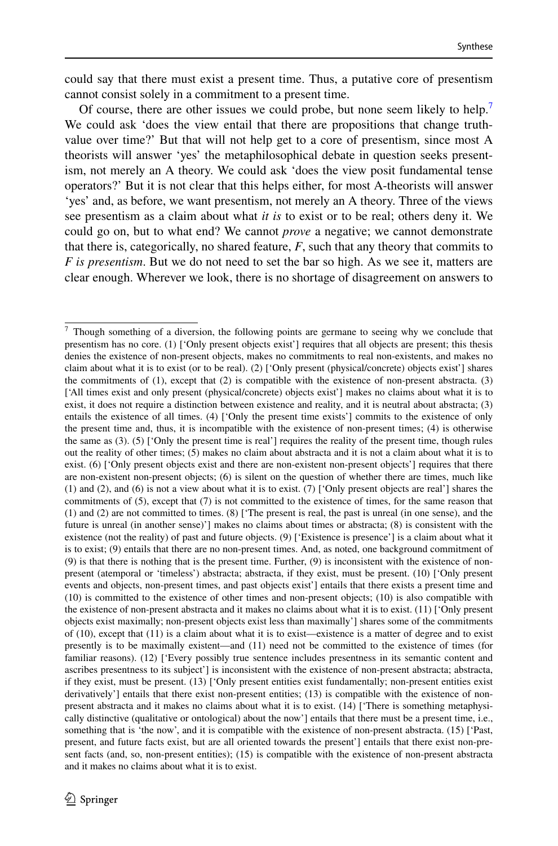could say that there must exist a present time. Thus, a putative core of presentism cannot consist solely in a commitment to a present time.

Of course, there are other issues we could probe, but none seem likely to help.<sup>[7](#page-14-0)</sup> We could ask 'does the view entail that there are propositions that change truthvalue over time?' But that will not help get to a core of presentism, since most A theorists will answer 'yes' the metaphilosophical debate in question seeks presentism, not merely an A theory. We could ask 'does the view posit fundamental tense operators?' But it is not clear that this helps either, for most A-theorists will answer 'yes' and, as before, we want presentism, not merely an A theory. Three of the views see presentism as a claim about what *it is* to exist or to be real; others deny it. We could go on, but to what end? We cannot *prove* a negative; we cannot demonstrate that there is, categorically, no shared feature,  $F$ , such that any theory that commits to *F* is presentism. But we do not need to set the bar so high. As we see it, matters are clear enough. Wherever we look, there is no shortage of disagreement on answers to

<span id="page-14-0"></span><sup>&</sup>lt;sup>7</sup> Though something of a diversion, the following points are germane to seeing why we conclude that presentism has no core. (1) ['Only present objects exist'] requires that all objects are present; this thesis denies the existence of non-present objects, makes no commitments to real non-existents, and makes no claim about what it is to exist (or to be real). (2) ['Only present (physical/concrete) objects exist'] shares the commitments of (1), except that (2) is compatible with the existence of non-present abstracta. (3) ['All times exist and only present (physical/concrete) objects exist'] makes no claims about what it is to exist, it does not require a distinction between existence and reality, and it is neutral about abstracta; (3) entails the existence of all times. (4) ['Only the present time exists'] commits to the existence of only the present time and, thus, it is incompatible with the existence of non-present times; (4) is otherwise the same as  $(3)$ .  $(5)$  ['Only the present time is real'] requires the reality of the present time, though rules out the reality of other times; (5) makes no claim about abstracta and it is not a claim about what it is to exist. (6) ['Only present objects exist and there are non-existent non-present objects'] requires that there are non-existent non-present objects; (6) is silent on the question of whether there are times, much like (1) and (2), and (6) is not a view about what it is to exist. (7) ['Only present objects are real'] shares the commitments of (5), except that (7) is not committed to the existence of times, for the same reason that (1) and (2) are not committed to times. (8) ['The present is real, the past is unreal (in one sense), and the future is unreal (in another sense)'] makes no claims about times or abstracta; (8) is consistent with the existence (not the reality) of past and future objects. (9) ['Existence is presence'] is a claim about what it is to exist; (9) entails that there are no non-present times. And, as noted, one background commitment of (9) is that there is nothing that is the present time. Further, (9) is inconsistent with the existence of nonpresent (atemporal or 'timeless') abstracta; abstracta, if they exist, must be present. (10) ['Only present events and objects, non-present times, and past objects exist'] entails that there exists a present time and (10) is committed to the existence of other times and non-present objects; (10) is also compatible with the existence of non-present abstracta and it makes no claims about what it is to exist. (11) ['Only present objects exist maximally; non-present objects exist less than maximally'] shares some of the commitments of (10), except that (11) is a claim about what it is to exist—existence is a matter of degree and to exist presently is to be maximally existent—and (11) need not be committed to the existence of times (for familiar reasons). (12) ['Every possibly true sentence includes presentness in its semantic content and ascribes presentness to its subject'] is inconsistent with the existence of non-present abstracta; abstracta, if they exist, must be present. (13) ['Only present entities exist fundamentally; non-present entities exist derivatively'] entails that there exist non-present entities; (13) is compatible with the existence of nonpresent abstracta and it makes no claims about what it is to exist. (14) ['There is something metaphysically distinctive (qualitative or ontological) about the now'] entails that there must be a present time, i.e., something that is 'the now', and it is compatible with the existence of non-present abstracta. (15) ['Past, present, and future facts exist, but are all oriented towards the present'] entails that there exist non-present facts (and, so, non-present entities); (15) is compatible with the existence of non-present abstracta and it makes no claims about what it is to exist.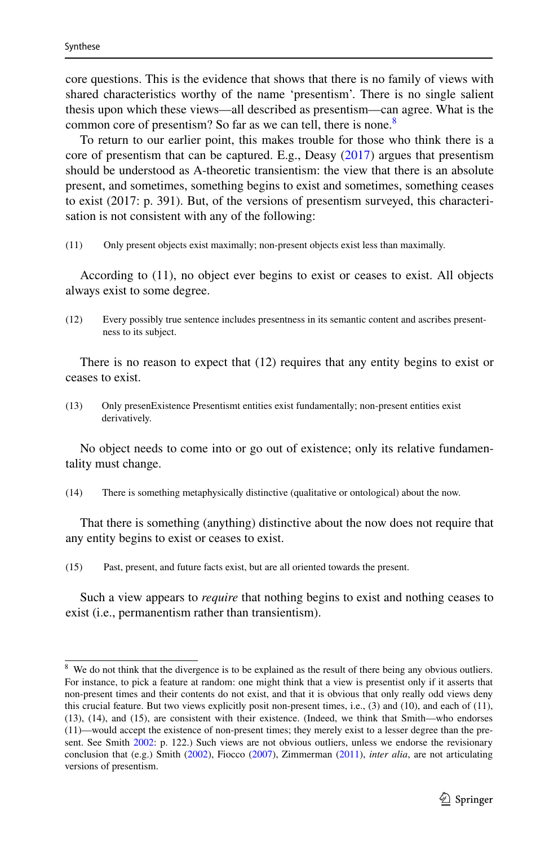core questions. This is the evidence that shows that there is no family of views with shared characteristics worthy of the name 'presentism'. There is no single salient thesis upon which these views—all described as presentism—can agree. What is the common core of presentism? So far as we can tell, there is none.<sup>[8](#page-15-0)</sup>

To return to our earlier point, this makes trouble for those who think there is a core of presentism that can be captured. E.g., Deasy ([2017\)](#page-22-5) argues that presentism should be understood as A-theoretic transientism: the view that there is an absolute present, and sometimes, something begins to exist and sometimes, something ceases to exist (2017: p. 391). But, of the versions of presentism surveyed, this characterisation is not consistent with any of the following:

(11) Only present objects exist maximally; non-present objects exist less than maximally.

According to (11), no object ever begins to exist or ceases to exist. All objects always exist to some degree.

(12) Every possibly true sentence includes presentness in its semantic content and ascribes presentness to its subject.

There is no reason to expect that (12) requires that any entity begins to exist or ceases to exist.

(13) Only presenExistence Presentismt entities exist fundamentally; non-present entities exist derivatively.

No object needs to come into or go out of existence; only its relative fundamentality must change.

(14) There is something metaphysically distinctive (qualitative or ontological) about the now.

That there is something (anything) distinctive about the now does not require that any entity begins to exist or ceases to exist.

(15) Past, present, and future facts exist, but are all oriented towards the present.

Such a view appears to *require* that nothing begins to exist and nothing ceases to exist (i.e., permanentism rather than transientism).

<span id="page-15-0"></span><sup>&</sup>lt;sup>8</sup> We do not think that the divergence is to be explained as the result of there being any obvious outliers. For instance, to pick a feature at random: one might think that a view is presentist only if it asserts that non-present times and their contents do not exist, and that it is obvious that only really odd views deny this crucial feature. But two views explicitly posit non-present times, i.e., (3) and (10), and each of (11), (13), (14), and (15), are consistent with their existence. (Indeed, we think that Smith—who endorses (11)—would accept the existence of non-present times; they merely exist to a lesser degree than the pre-sent. See Smith [2002](#page-23-20): p. 122.) Such views are not obvious outliers, unless we endorse the revisionary conclusion that (e.g.) Smith ([2002\)](#page-23-20), Fiocco ([2007\)](#page-22-21), Zimmerman [\(2011](#page-23-10)), *inter alia*, are not articulating versions of presentism.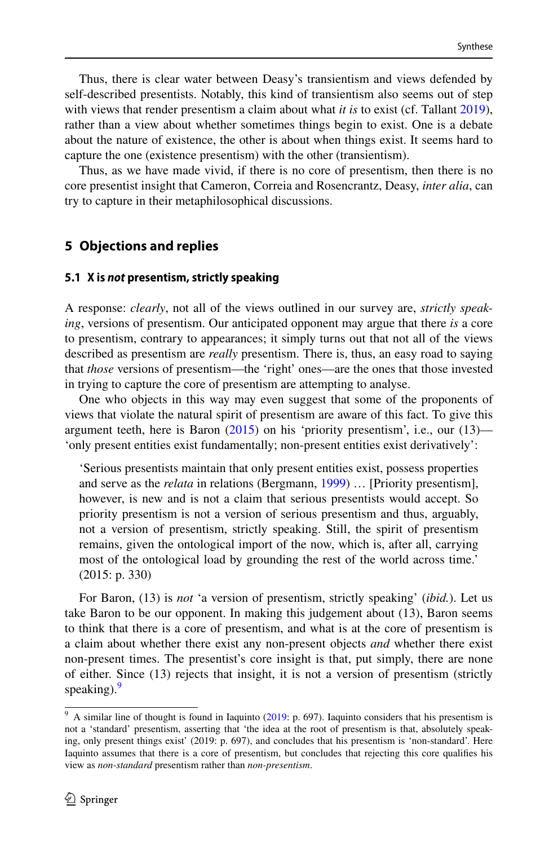Thus, there is clear water between Deasy's transientism and views defended by self-described presentists. Notably, this kind of transientism also seems out of step with views that render presentism a claim about what *it is* to exist (cf. Tallant [2019\)](#page-23-1), rather than a view about whether sometimes things begin to exist. One is a debate about the nature of existence, the other is about when things exist. It seems hard to capture the one (existence presentism) with the other (transientism).

Thus, as we have made vivid, if there is no core of presentism, then there is no core presentist insight that Cameron, Correia and Rosencrantz, Deasy, *inter alia*, can try to capture in their metaphilosophical discussions.

## <span id="page-16-0"></span>**5 Objections and replies**

#### **5.1 X is not presentism, strictly speaking**

A response: *clearly*, not all of the views outlined in our survey are, *strictly speaking*, versions of presentism. Our anticipated opponent may argue that there *is* a core to presentism, contrary to appearances; it simply turns out that not all of the views described as presentism are *really* presentism. There is, thus, an easy road to saying that *those* versions of presentism—the 'right' ones—are the ones that those invested in trying to capture the core of presentism are attempting to analyse.

One who objects in this way may even suggest that some of the proponents of views that violate the natural spirit of presentism are aware of this fact. To give this argument teeth, here is Baron  $(2015)$  $(2015)$  on his 'priority presentism', i.e., our  $(13)$ — 'only present entities exist fundamentally; non-present entities exist derivatively':

'Serious presentists maintain that only present entities exist, possess properties and serve as the *relata* in relations (Bergmann, [1999](#page-22-24)) … [Priority presentism], however, is new and is not a claim that serious presentists would accept. So priority presentism is not a version of serious presentism and thus, arguably, not a version of presentism, strictly speaking. Still, the spirit of presentism remains, given the ontological import of the now, which is, after all, carrying most of the ontological load by grounding the rest of the world across time.' (2015: p. 330)

For Baron, (13) is *not* 'a version of presentism, strictly speaking' (*ibid.*). Let us take Baron to be our opponent. In making this judgement about (13), Baron seems to think that there is a core of presentism, and what is at the core of presentism is a claim about whether there exist any non-present objects *and* whether there exist non-present times. The presentist's core insight is that, put simply, there are none of either. Since (13) rejects that insight, it is not a version of presentism (strictly speaking). $9$ 

<span id="page-16-1"></span><sup>&</sup>lt;sup>9</sup> A similar line of thought is found in Iaquinto ([2019:](#page-22-23) p. 697). Iaquinto considers that his presentism is not a 'standard' presentism, asserting that 'the idea at the root of presentism is that, absolutely speaking, only present things exist' (2019: p. 697), and concludes that his presentism is 'non-standard'. Here Iaquinto assumes that there is a core of presentism, but concludes that rejecting this core qualifies his view as *non-standard* presentism rather than *non-presentism*.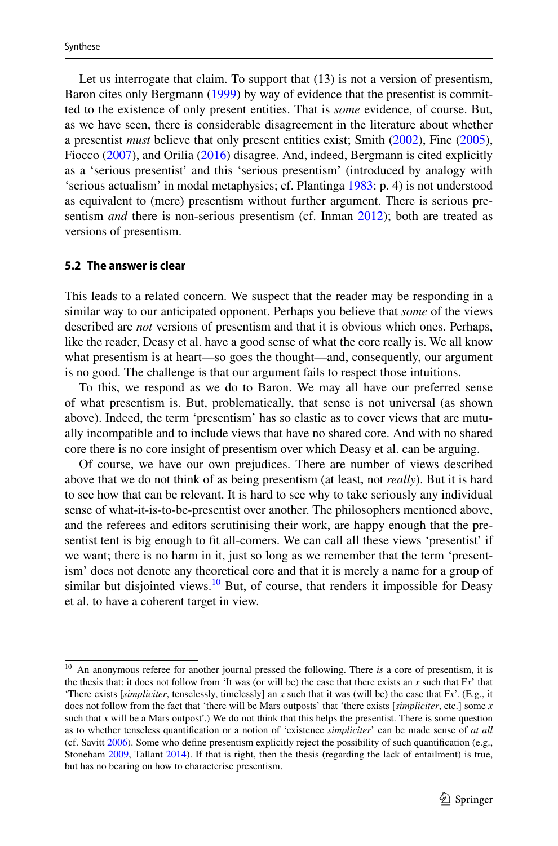Let us interrogate that claim. To support that  $(13)$  is not a version of presentism, Baron cites only Bergmann [\(1999](#page-22-24)) by way of evidence that the presentist is committed to the existence of only present entities. That is *some* evidence, of course. But, as we have seen, there is considerable disagreement in the literature about whether a presentist *must* believe that only present entities exist; Smith ([2002\)](#page-23-20), Fine ([2005\)](#page-22-22), Fiocco ([2007\)](#page-22-21), and Orilia [\(2016](#page-23-23)) disagree. And, indeed, Bergmann is cited explicitly as a 'serious presentist' and this 'serious presentism' (introduced by analogy with 'serious actualism' in modal metaphysics; cf. Plantinga [1983](#page-23-28): p. 4) is not understood as equivalent to (mere) presentism without further argument. There is serious presentism *and* there is non-serious presentism (cf. Inman [2012](#page-22-25)); both are treated as versions of presentism.

#### **5.2 The answer is clear**

This leads to a related concern. We suspect that the reader may be responding in a similar way to our anticipated opponent. Perhaps you believe that *some* of the views described are *not* versions of presentism and that it is obvious which ones. Perhaps, like the reader, Deasy et al. have a good sense of what the core really is. We all know what presentism is at heart—so goes the thought—and, consequently, our argument is no good. The challenge is that our argument fails to respect those intuitions.

To this, we respond as we do to Baron. We may all have our preferred sense of what presentism is. But, problematically, that sense is not universal (as shown above). Indeed, the term 'presentism' has so elastic as to cover views that are mutually incompatible and to include views that have no shared core. And with no shared core there is no core insight of presentism over which Deasy et al. can be arguing.

Of course, we have our own prejudices. There are number of views described above that we do not think of as being presentism (at least, not *really*). But it is hard to see how that can be relevant. It is hard to see why to take seriously any individual sense of what-it-is-to-be-presentist over another. The philosophers mentioned above, and the referees and editors scrutinising their work, are happy enough that the presentist tent is big enough to fit all-comers. We can call all these views 'presentist' if we want; there is no harm in it, just so long as we remember that the term 'presentism' does not denote any theoretical core and that it is merely a name for a group of similar but disjointed views.<sup>[10](#page-17-0)</sup> But, of course, that renders it impossible for Deasy et al. to have a coherent target in view.

<span id="page-17-0"></span><sup>&</sup>lt;sup>10</sup> An anonymous referee for another journal pressed the following. There *is* a core of presentism, it is the thesis that: it does not follow from 'It was (or will be) the case that there exists an  $x$  such that  $Fx'$  that 'There exists [*simpliciter*, tenselessly, timelessly] an *x* such that it was (will be) the case that F*x*'. (E.g., it does not follow from the fact that 'there will be Mars outposts' that 'there exists [*simpliciter*, etc.] some *x* such that *x* will be a Mars outpost'.) We do not think that this helps the presentist. There is some question as to whether tenseless quantification or a notion of 'existence *simpliciter*' can be made sense of *at all* (cf. Savitt [2006](#page-23-29)). Some who define presentism explicitly reject the possibility of such quantification (e.g., Stoneham [2009](#page-23-30), Tallant [2014\)](#page-23-9). If that is right, then the thesis (regarding the lack of entailment) is true, but has no bearing on how to characterise presentism.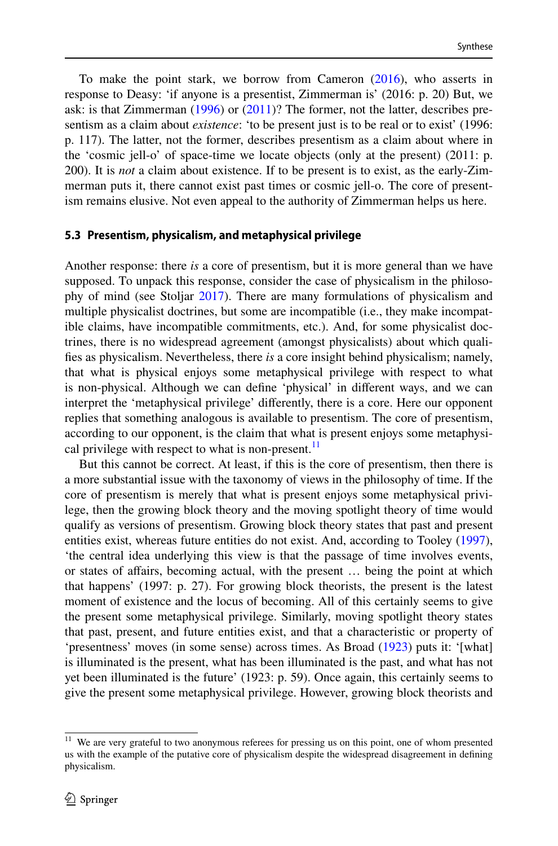To make the point stark, we borrow from Cameron [\(2016](#page-22-0)), who asserts in response to Deasy: 'if anyone is a presentist, Zimmerman is' (2016: p. 20) But, we ask: is that Zimmerman [\(1996](#page-23-31)) or [\(2011](#page-23-10))? The former, not the latter, describes presentism as a claim about *existence*: 'to be present just is to be real or to exist' (1996: p. 117). The latter, not the former, describes presentism as a claim about where in the 'cosmic jell-o' of space-time we locate objects (only at the present) (2011: p. 200). It is *not* a claim about existence. If to be present is to exist, as the early-Zimmerman puts it, there cannot exist past times or cosmic jell-o. The core of presentism remains elusive. Not even appeal to the authority of Zimmerman helps us here.

#### **5.3 Presentism, physicalism, and metaphysical privilege**

Another response: there *is* a core of presentism, but it is more general than we have supposed. To unpack this response, consider the case of physicalism in the philosophy of mind (see Stoljar [2017\)](#page-23-32). There are many formulations of physicalism and multiple physicalist doctrines, but some are incompatible (i.e., they make incompatible claims, have incompatible commitments, etc.). And, for some physicalist doctrines, there is no widespread agreement (amongst physicalists) about which qualifies as physicalism. Nevertheless, there *is* a core insight behind physicalism; namely, that what is physical enjoys some metaphysical privilege with respect to what is non-physical. Although we can define 'physical' in different ways, and we can interpret the 'metaphysical privilege' differently, there is a core. Here our opponent replies that something analogous is available to presentism. The core of presentism, according to our opponent, is the claim that what is present enjoys some metaphysical privilege with respect to what is non-present. $<sup>11</sup>$  $<sup>11</sup>$  $<sup>11</sup>$ </sup>

But this cannot be correct. At least, if this is the core of presentism, then there is a more substantial issue with the taxonomy of views in the philosophy of time. If the core of presentism is merely that what is present enjoys some metaphysical privilege, then the growing block theory and the moving spotlight theory of time would qualify as versions of presentism. Growing block theory states that past and present entities exist, whereas future entities do not exist. And, according to Tooley ([1997\)](#page-23-33), 'the central idea underlying this view is that the passage of time involves events, or states of affairs, becoming actual, with the present … being the point at which that happens' (1997: p. 27). For growing block theorists, the present is the latest moment of existence and the locus of becoming. All of this certainly seems to give the present some metaphysical privilege. Similarly, moving spotlight theory states that past, present, and future entities exist, and that a characteristic or property of 'presentness' moves (in some sense) across times. As Broad [\(1923](#page-22-26)) puts it: '[what] is illuminated is the present, what has been illuminated is the past, and what has not yet been illuminated is the future' (1923: p. 59). Once again, this certainly seems to give the present some metaphysical privilege. However, growing block theorists and

<span id="page-18-0"></span><sup>&</sup>lt;sup>11</sup> We are very grateful to two anonymous referees for pressing us on this point, one of whom presented us with the example of the putative core of physicalism despite the widespread disagreement in defining physicalism.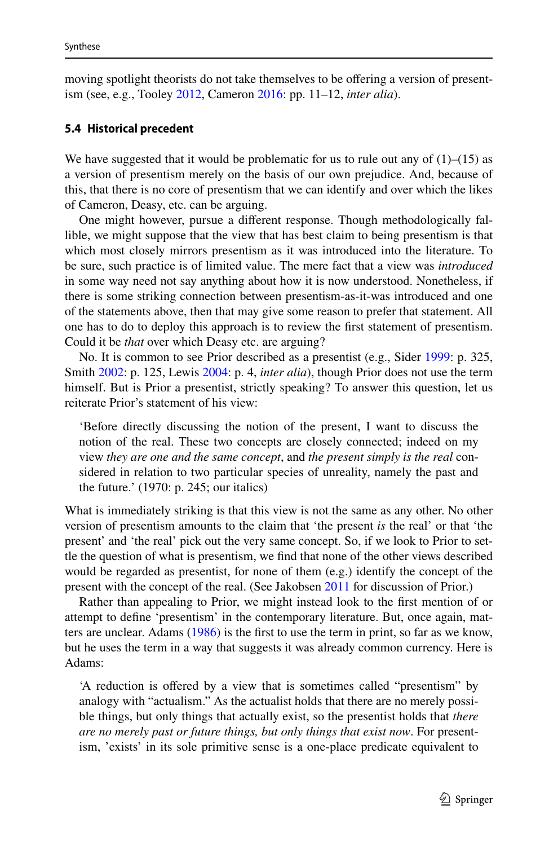moving spotlight theorists do not take themselves to be offering a version of presentism (see, e.g., Tooley [2012,](#page-23-8) Cameron [2016:](#page-22-0) pp. 11–12, *inter alia*).

#### <span id="page-19-0"></span>**5.4 Historical precedent**

We have suggested that it would be problematic for us to rule out any of  $(1)$ – $(15)$  as a version of presentism merely on the basis of our own prejudice. And, because of this, that there is no core of presentism that we can identify and over which the likes of Cameron, Deasy, etc. can be arguing.

One might however, pursue a different response. Though methodologically fallible, we might suppose that the view that has best claim to being presentism is that which most closely mirrors presentism as it was introduced into the literature. To be sure, such practice is of limited value. The mere fact that a view was *introduced* in some way need not say anything about how it is now understood. Nonetheless, if there is some striking connection between presentism-as-it-was introduced and one of the statements above, then that may give some reason to prefer that statement. All one has to do to deploy this approach is to review the first statement of presentism. Could it be *that* over which Deasy etc. are arguing?

No. It is common to see Prior described as a presentist (e.g., Sider [1999:](#page-23-13) p. 325, Smith [2002:](#page-23-20) p. 125, Lewis [2004:](#page-22-18) p. 4, *inter alia*), though Prior does not use the term himself. But is Prior a presentist, strictly speaking? To answer this question, let us reiterate Prior's statement of his view:

'Before directly discussing the notion of the present, I want to discuss the notion of the real. These two concepts are closely connected; indeed on my view *they are one and the same concept*, and *the present simply is the real* considered in relation to two particular species of unreality, namely the past and the future.' (1970: p. 245; our italics)

What is immediately striking is that this view is not the same as any other. No other version of presentism amounts to the claim that 'the present *is* the real' or that 'the present' and 'the real' pick out the very same concept. So, if we look to Prior to settle the question of what is presentism, we find that none of the other views described would be regarded as presentist, for none of them (e.g.) identify the concept of the present with the concept of the real. (See Jakobsen [2011](#page-22-19) for discussion of Prior.)

Rather than appealing to Prior, we might instead look to the first mention of or attempt to define 'presentism' in the contemporary literature. But, once again, matters are unclear. Adams ([1986\)](#page-22-27) is the first to use the term in print, so far as we know, but he uses the term in a way that suggests it was already common currency. Here is Adams:

'A reduction is offered by a view that is sometimes called "presentism" by analogy with "actualism." As the actualist holds that there are no merely possible things, but only things that actually exist, so the presentist holds that *there are no merely past or future things, but only things that exist now*. For presentism, 'exists' in its sole primitive sense is a one-place predicate equivalent to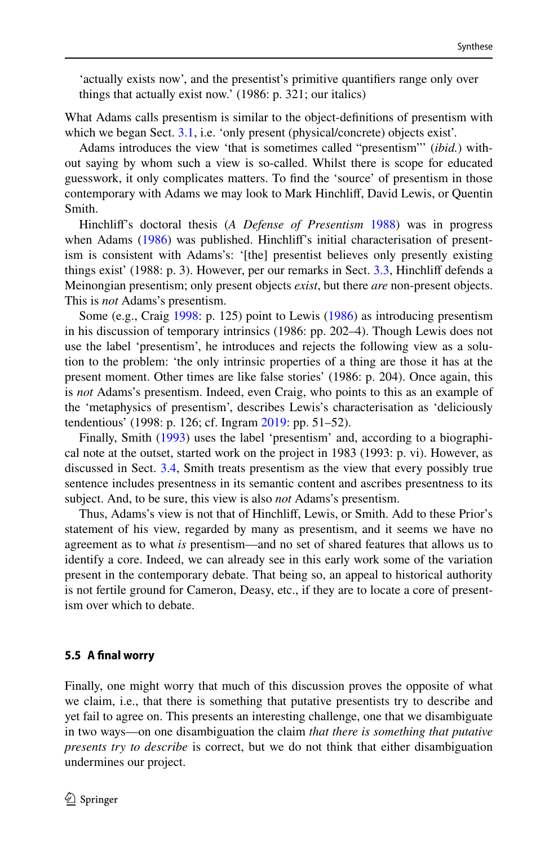'actually exists now', and the presentist's primitive quantifiers range only over things that actually exist now.' (1986: p. 321; our italics)

What Adams calls presentism is similar to the object-definitions of presentism with which we began Sect. [3.1,](#page-7-1) i.e. 'only present (physical/concrete) objects exist'.

Adams introduces the view 'that is sometimes called "presentism"' (*ibid.*) without saying by whom such a view is so-called. Whilst there is scope for educated guesswork, it only complicates matters. To find the 'source' of presentism in those contemporary with Adams we may look to Mark Hinchliff, David Lewis, or Quentin Smith.

Hinchliff's doctoral thesis (*A Defense of Presentism* [1988\)](#page-22-16) was in progress when Adams ([1986\)](#page-22-27) was published. Hinchliff's initial characterisation of presentism is consistent with Adams's: '[the] presentist believes only presently existing things exist' (1988: p. 3). However, per our remarks in Sect. [3.3,](#page-9-1) Hinchliff defends a Meinongian presentism; only present objects *exist*, but there *are* non-present objects. This is *not* Adams's presentism.

Some (e.g., Craig [1998](#page-22-28): p. 125) point to Lewis ([1986\)](#page-22-29) as introducing presentism in his discussion of temporary intrinsics (1986: pp. 202–4). Though Lewis does not use the label 'presentism', he introduces and rejects the following view as a solution to the problem: 'the only intrinsic properties of a thing are those it has at the present moment. Other times are like false stories' (1986: p. 204). Once again, this is *not* Adams's presentism. Indeed, even Craig, who points to this as an example of the 'metaphysics of presentism', describes Lewis's characterisation as 'deliciously tendentious' (1998: p. 126; cf. Ingram [2019:](#page-22-7) pp. 51–52).

Finally, Smith [\(1993](#page-23-25)) uses the label 'presentism' and, according to a biographical note at the outset, started work on the project in 1983 (1993: p. vi). However, as discussed in Sect. [3.4,](#page-10-0) Smith treats presentism as the view that every possibly true sentence includes presentness in its semantic content and ascribes presentness to its subject. And, to be sure, this view is also *not* Adams's presentism.

Thus, Adams's view is not that of Hinchliff, Lewis, or Smith. Add to these Prior's statement of his view, regarded by many as presentism, and it seems we have no agreement as to what *is* presentism—and no set of shared features that allows us to identify a core. Indeed, we can already see in this early work some of the variation present in the contemporary debate. That being so, an appeal to historical authority is not fertile ground for Cameron, Deasy, etc., if they are to locate a core of presentism over which to debate.

### **5.5 A final worry**

Finally, one might worry that much of this discussion proves the opposite of what we claim, i.e., that there is something that putative presentists try to describe and yet fail to agree on. This presents an interesting challenge, one that we disambiguate in two ways—on one disambiguation the claim *that there is something that putative presents try to describe* is correct, but we do not think that either disambiguation undermines our project.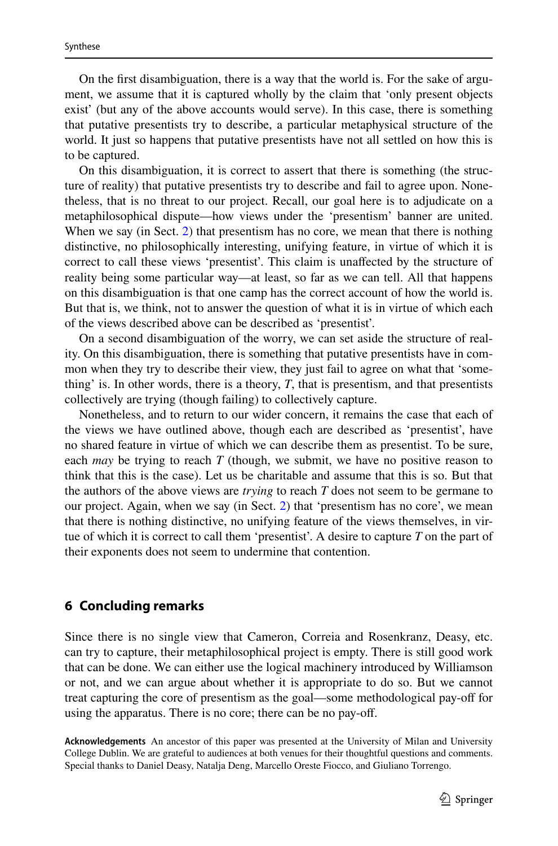On the first disambiguation, there is a way that the world is. For the sake of argument, we assume that it is captured wholly by the claim that 'only present objects exist' (but any of the above accounts would serve). In this case, there is something that putative presentists try to describe, a particular metaphysical structure of the world. It just so happens that putative presentists have not all settled on how this is to be captured.

On this disambiguation, it is correct to assert that there is something (the structure of reality) that putative presentists try to describe and fail to agree upon. Nonetheless, that is no threat to our project. Recall, our goal here is to adjudicate on a metaphilosophical dispute—how views under the 'presentism' banner are united. When we say (in Sect. [2\)](#page-3-0) that presentism has no core, we mean that there is nothing distinctive, no philosophically interesting, unifying feature, in virtue of which it is correct to call these views 'presentist'. This claim is unaffected by the structure of reality being some particular way—at least, so far as we can tell. All that happens on this disambiguation is that one camp has the correct account of how the world is. But that is, we think, not to answer the question of what it is in virtue of which each of the views described above can be described as 'presentist'.

On a second disambiguation of the worry, we can set aside the structure of reality. On this disambiguation, there is something that putative presentists have in common when they try to describe their view, they just fail to agree on what that 'something' is. In other words, there is a theory, *T*, that is presentism, and that presentists collectively are trying (though failing) to collectively capture.

Nonetheless, and to return to our wider concern, it remains the case that each of the views we have outlined above, though each are described as 'presentist', have no shared feature in virtue of which we can describe them as presentist. To be sure, each *may* be trying to reach  $T$  (though, we submit, we have no positive reason to think that this is the case). Let us be charitable and assume that this is so. But that the authors of the above views are *trying* to reach *T* does not seem to be germane to our project. Again, when we say (in Sect. [2](#page-3-0)) that 'presentism has no core', we mean that there is nothing distinctive, no unifying feature of the views themselves, in virtue of which it is correct to call them 'presentist'. A desire to capture *T* on the part of their exponents does not seem to undermine that contention.

## **6 Concluding remarks**

Since there is no single view that Cameron, Correia and Rosenkranz, Deasy, etc. can try to capture, their metaphilosophical project is empty. There is still good work that can be done. We can either use the logical machinery introduced by Williamson or not, and we can argue about whether it is appropriate to do so. But we cannot treat capturing the core of presentism as the goal—some methodological pay-off for using the apparatus. There is no core; there can be no pay-off.

**Acknowledgements** An ancestor of this paper was presented at the University of Milan and University College Dublin. We are grateful to audiences at both venues for their thoughtful questions and comments. Special thanks to Daniel Deasy, Natalja Deng, Marcello Oreste Fiocco, and Giuliano Torrengo.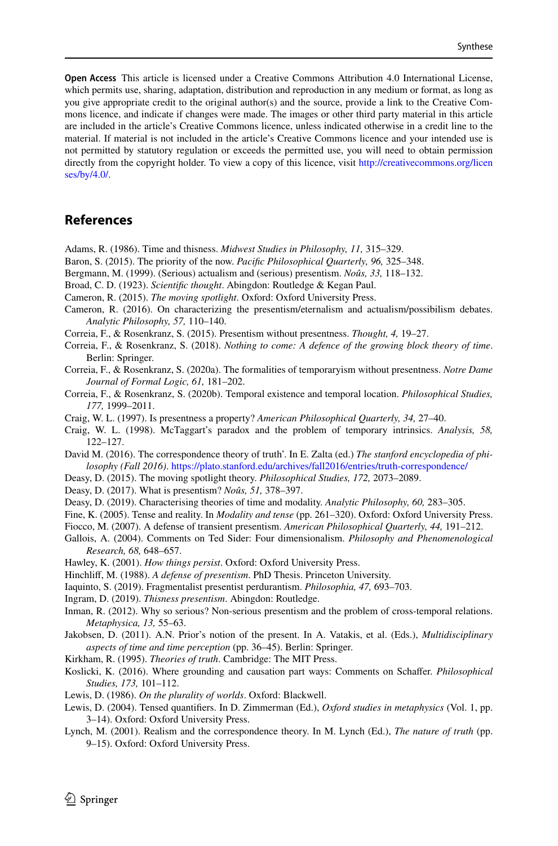**Open Access** This article is licensed under a Creative Commons Attribution 4.0 International License, which permits use, sharing, adaptation, distribution and reproduction in any medium or format, as long as you give appropriate credit to the original author(s) and the source, provide a link to the Creative Commons licence, and indicate if changes were made. The images or other third party material in this article are included in the article's Creative Commons licence, unless indicated otherwise in a credit line to the material. If material is not included in the article's Creative Commons licence and your intended use is not permitted by statutory regulation or exceeds the permitted use, you will need to obtain permission directly from the copyright holder. To view a copy of this licence, visit http://creativecommons.org/licen [ses/by/4.0/](http://creativecommons.org/licenses/by/4.0/).

## **References**

- <span id="page-22-27"></span>Adams, R. (1986). Time and thisness. *Midwest Studies in Philosophy, 11,* 315–329.
- <span id="page-22-20"></span>Baron, S. (2015). The priority of the now. *Pacific Philosophical Quarterly, 96,* 325–348.
- <span id="page-22-24"></span>Bergmann, M. (1999). (Serious) actualism and (serious) presentism. *Noûs, 33,* 118–132.
- <span id="page-22-26"></span>Broad, C. D. (1923). *Scientific thought*. Abingdon: Routledge & Kegan Paul.
- <span id="page-22-13"></span>Cameron, R. (2015). *The moving spotlight*. Oxford: Oxford University Press.
- <span id="page-22-0"></span>Cameron, R. (2016). On characterizing the presentism/eternalism and actualism/possibilism debates. *Analytic Philosophy, 57,* 110–140.
- <span id="page-22-1"></span>Correia, F., & Rosenkranz, S. (2015). Presentism without presentness. *Thought, 4,* 19–27.
- <span id="page-22-2"></span>Correia, F., & Rosenkranz, S. (2018). *Nothing to come: A defence of the growing block theory of time*. Berlin: Springer.
- <span id="page-22-3"></span>Correia, F., & Rosenkranz, S. (2020a). The formalities of temporaryism without presentness. *Notre Dame Journal of Formal Logic, 61,* 181–202.
- <span id="page-22-4"></span>Correia, F., & Rosenkranz, S. (2020b). Temporal existence and temporal location. *Philosophical Studies, 177,* 1999–2011.
- <span id="page-22-14"></span>Craig, W. L. (1997). Is presentness a property? *American Philosophical Quarterly, 34,* 27–40.
- <span id="page-22-28"></span>Craig, W. L. (1998). McTaggart's paradox and the problem of temporary intrinsics. *Analysis, 58,* 122–127.
- <span id="page-22-11"></span>David M. (2016). The correspondence theory of truth'. In E. Zalta (ed.) *The stanford encyclopedia of philosophy (Fall 2016)*. https://plato.stanford.edu/archives/fall2016/entries/truth-correspondence/
- <span id="page-22-8"></span>Deasy, D. (2015). The moving spotlight theory. *Philosophical Studies, 172,* 2073–2089.
- <span id="page-22-5"></span>Deasy, D. (2017). What is presentism? *Noûs, 51,* 378–397.
- <span id="page-22-6"></span>Deasy, D. (2019). Characterising theories of time and modality. *Analytic Philosophy, 60,* 283–305.

<span id="page-22-22"></span>Fine, K. (2005). Tense and reality. In *Modality and tense* (pp. 261–320). Oxford: Oxford University Press.

- <span id="page-22-21"></span>Fiocco, M. (2007). A defense of transient presentism. *American Philosophical Quarterly, 44,* 191–212.
- <span id="page-22-17"></span>Gallois, A. (2004). Comments on Ted Sider: Four dimensionalism. *Philosophy and Phenomenological Research, 68,* 648–657.
- <span id="page-22-15"></span>Hawley, K. (2001). *How things persist*. Oxford: Oxford University Press.
- <span id="page-22-16"></span>Hinchliff, M. (1988). *A defense of presentism*. PhD Thesis. Princeton University.
- <span id="page-22-23"></span>Iaquinto, S. (2019). Fragmentalist presentist perdurantism. *Philosophia, 47,* 693–703.
- <span id="page-22-7"></span>Ingram, D. (2019). *Thisness presentism*. Abingdon: Routledge.

<span id="page-22-25"></span>Inman, R. (2012). Why so serious? Non-serious presentism and the problem of cross-temporal relations. *Metaphysica, 13,* 55–63.

- <span id="page-22-19"></span>Jakobsen, D. (2011). A.N. Prior's notion of the present. In A. Vatakis, et al. (Eds.), *Multidisciplinary aspects of time and time perception* (pp. 36–45). Berlin: Springer.
- <span id="page-22-12"></span>Kirkham, R. (1995). *Theories of truth*. Cambridge: The MIT Press.
- <span id="page-22-9"></span>Koslicki, K. (2016). Where grounding and causation part ways: Comments on Schaffer. *Philosophical Studies, 173,* 101–112.
- <span id="page-22-29"></span>Lewis, D. (1986). *On the plurality of worlds*. Oxford: Blackwell.
- <span id="page-22-18"></span>Lewis, D. (2004). Tensed quantifiers. In D. Zimmerman (Ed.), *Oxford studies in metaphysics* (Vol. 1, pp. 3–14). Oxford: Oxford University Press.
- <span id="page-22-10"></span>Lynch, M. (2001). Realism and the correspondence theory. In M. Lynch (Ed.), *The nature of truth* (pp. 9–15). Oxford: Oxford University Press.